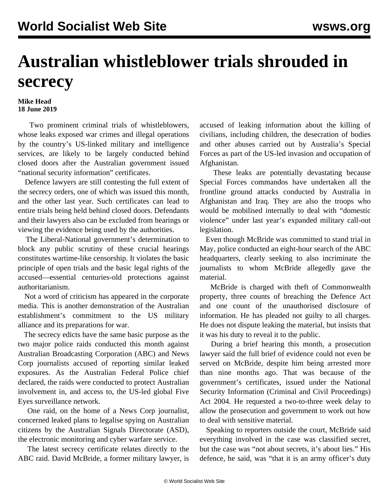## **Australian whistleblower trials shrouded in secrecy**

## **Mike Head 18 June 2019**

 Two prominent criminal trials of whistleblowers, whose leaks exposed war crimes and illegal operations by the country's US-linked military and intelligence services, are likely to be largely conducted behind closed doors after the Australian government issued "national security information" certificates.

 Defence lawyers are still contesting the full extent of the secrecy orders, one of which was issued this month, and the other last year. Such certificates can lead to entire trials being held behind closed doors. Defendants and their lawyers also can be excluded from hearings or viewing the evidence being used by the authorities.

 The Liberal-National government's determination to block any public scrutiny of these crucial hearings constitutes wartime-like censorship. It violates the basic principle of open trials and the basic legal rights of the accused—essential centuries-old protections against authoritarianism.

 Not a word of criticism has appeared in the corporate media. This is another demonstration of the Australian establishment's commitment to the US military alliance and its preparations for war.

 The secrecy edicts have the same basic purpose as the two major police raids conducted this month against Australian Broadcasting Corporation (ABC) and News Corp journalists accused of reporting similar leaked exposures. As the Australian Federal Police chief [declared,](/en/articles/2019/06/08/gaud-j08.html) the raids were conducted to protect Australian involvement in, and access to, the US-led global Five Eyes surveillance network.

 One raid, on the home of a News Corp journalist, concerned leaked plans to legalise spying on Australian citizens by the Australian Signals Directorate (ASD), the electronic monitoring and cyber warfare service.

 The latest secrecy certificate relates directly to the ABC raid. David McBride, a former military lawyer, is

[accused](/en/articles/2019/03/11/sasc-m11.html) of leaking information about the killing of civilians, including children, the desecration of bodies and other abuses carried out by Australia's Special Forces as part of the US-led invasion and occupation of Afghanistan.

 These leaks are potentially devastating because Special Forces commandos have undertaken all the frontline ground attacks conducted by Australia in Afghanistan and Iraq. They are also the troops who would be mobilised internally to deal with "domestic violence" under last year's [expanded](/en/articles/2018/11/23/mili-n23.html) military call-out legislation.

 Even though McBride was committed to stand trial in May, police conducted an eight-hour search of the ABC headquarters, clearly seeking to also incriminate the journalists to whom McBride allegedly gave the material.

 McBride is charged with theft of Commonwealth property, three counts of breaching the Defence Act and one count of the unauthorised disclosure of information. He has pleaded not guilty to all charges. He does not dispute leaking the material, but insists that it was his duty to reveal it to the public.

 During a brief hearing this month, a prosecution lawyer said the full brief of evidence could not even be served on McBride, despite him being arrested more than nine months ago. That was because of the government's certificates, issued under the National Security Information (Criminal and Civil Proceedings) Act 2004. He requested a two-to-three week delay to allow the prosecution and government to work out how to deal with sensitive material.

 Speaking to reporters outside the court, McBride said everything involved in the case was classified secret, but the case was "not about secrets, it's about lies." His defence, he said, was "that it is an army officer's duty